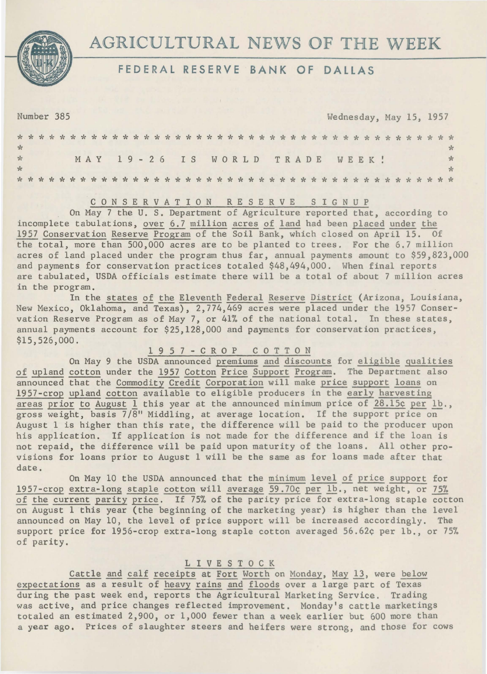

# AGRICULTURAL NEWS OF **THE** WEEK

## **FEDERAL RESERVE BANK OF DALLAS**

Number 385 Wednesday, May 15, 1957

| $\frac{1}{2}$        |  |  |  |  |  |  |  |  |  |  |  |                                |  |  |  |  |  |  |  |  |     |
|----------------------|--|--|--|--|--|--|--|--|--|--|--|--------------------------------|--|--|--|--|--|--|--|--|-----|
| $\frac{J}{J\lambda}$ |  |  |  |  |  |  |  |  |  |  |  | MAY 19-26 IS WORLD TRADE WEEK! |  |  |  |  |  |  |  |  | $*$ |
| $\star$              |  |  |  |  |  |  |  |  |  |  |  |                                |  |  |  |  |  |  |  |  |     |
|                      |  |  |  |  |  |  |  |  |  |  |  |                                |  |  |  |  |  |  |  |  |     |

## C 0 N S E R V A T I 0 N R E S E RV E s I G N u <sup>p</sup>

On May 7 the U. S. Department of Agriculture reported that, according to incomplete tabulations, over 6.7 million acres of land had been placed under the 1957 Conservation Reserve Program of the Soil Bank, which closed on April 15. Of the total, more than 500,000 acres are to be planted to trees. For the 6.7 million acres of land placed under the program thus far, annual payments amount to \$59,823,000 and payments for conservation practices totaled \$48,494,000. When final reports are tabulated, USDA officials estimate there will be a total of about 7 million acres in the program.

In the states of the Eleventh Federal Reserve District (Arizona, Louisiana, New Mexico, Oklahoma, and Texas), 2,774,469 acres were placed under the 1957 Conservation Reserve Program as of May 7, or 41% of the national total. In these states, annual payments account for \$25,128,000 and payments for conservation practices, \$15,526,000.

**1** 9 5 7 - C R 0 P C 0 T T 0 N

On May 9 the USDA announced premiums and discounts for eligible qualities of upland cotton under the 1957 Cotton Price Support Program. The Department also announced that the Commodity Credit Corporation will make price support loans on 1957-crop upland cotton available to eligible producers in the early harvesting areas prior to August  $1$  this year at the announced minimum price of 28.15¢ per 1b., gross weight, basis 7/8" Middling, at average location. If the support price on August 1 is higher than this rate, the difference will be paid to the producer upon his application. If application is not made for the difference and if the loan is not repaid, the difference will be paid upon maturity of the loans. All other provisions for loans prior to August 1 will be the same as for loans made after that date.

On May 10 the USDA announced that the minimum level of price support for 1957-crop extra-long staple cotton will average 59.70¢ per lb., net weight, or 75% of the current parity price. If 75% of the parity price for extra-long staple cotton on August 1 this year (the beginning of the marketing year) is higher than the level announced on May 10, the level of price support will be increased accordingly. The support price for 1956-crop extra-long staple cotton averaged 56.62¢ per lb., or 75% of parity.

### L I V E S T 0 C K

Cattle and calf receipts at Fort Worth on Monday, May 13, were below expectations as a result of heavy rains and floods over a large part of Texas during the past week end, reports the Agricultural Marketing Service. Trading was active, and price changes reflected improvement. Monday's cattle marketings totaled an estimated 2,900, or 1,000 fewer than a week earlier but 600 more than a year ago. Prices of slaughter steers and heifers were strong, and those for cows